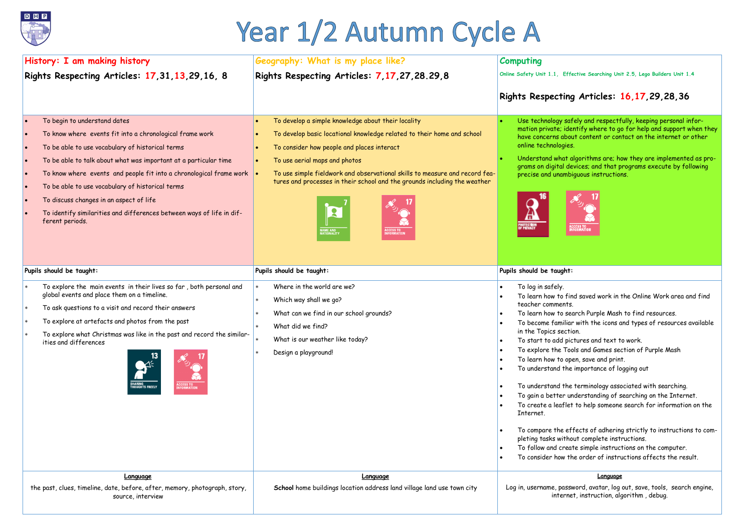# **Rights Respecting Articles: 16,17,29,28,36**

 $e$ ly and respectfully, keeping personal inforitify where to go for help and support when they t content or contact on the internet or other

gorithms are; how they are implemented as pro- $\bar{g}$ ices; and that programs execute by following quous instructions.



d saved work in the Online Work area and find

arch Purple Mash to find resources.

vith the icons and types of resources available on.

tures and text to work.

ls and Games section of Purple Mash

en, save and print.

importance of logging out

terminology associated with searching.

derstanding of searching on the Internet.

to help someone search for information on the

fects of adhering strictly to instructions to comut complete instructions.

te simple instructions on the computer.

e order of instructions affects the result.

# Year 1/2 Autumn Cycle A

| History: I am making history                  |                                                                                                                                                                                                                                                                                                                                                                                                                                                                                    | Geography: What is my place like?                                                                                                                                                                                                                                                                                                                                                                                                              | <b>Computing</b>                                                                                                                                                                                                                                                                                                                                                                                           |
|-----------------------------------------------|------------------------------------------------------------------------------------------------------------------------------------------------------------------------------------------------------------------------------------------------------------------------------------------------------------------------------------------------------------------------------------------------------------------------------------------------------------------------------------|------------------------------------------------------------------------------------------------------------------------------------------------------------------------------------------------------------------------------------------------------------------------------------------------------------------------------------------------------------------------------------------------------------------------------------------------|------------------------------------------------------------------------------------------------------------------------------------------------------------------------------------------------------------------------------------------------------------------------------------------------------------------------------------------------------------------------------------------------------------|
| Rights Respecting Articles: 17,31,13,29,16, 8 |                                                                                                                                                                                                                                                                                                                                                                                                                                                                                    | Rights Respecting Articles: 7, 17, 27, 28.29, 8                                                                                                                                                                                                                                                                                                                                                                                                | Online Safety Unit 1.1, Effer                                                                                                                                                                                                                                                                                                                                                                              |
|                                               |                                                                                                                                                                                                                                                                                                                                                                                                                                                                                    |                                                                                                                                                                                                                                                                                                                                                                                                                                                | <b>Rights Respecting</b>                                                                                                                                                                                                                                                                                                                                                                                   |
|                                               | To begin to understand dates<br>To know where events fit into a chronological frame work<br>To be able to use vocabulary of historical terms<br>To be able to talk about what was important at a particular time<br>To know where events and people fit into a chronological frame work<br>To be able to use vocabulary of historical terms<br>To discuss changes in an aspect of life<br>To identify similarities and differences between ways of life in dif-<br>ferent periods. | To develop a simple knowledge about their locality<br>To develop basic locational knowledge related to their home and school<br>To consider how people and places interact<br>To use aerial maps and photos<br>To use simple fieldwork and observational skills to measure and record fea-<br>tures and processes in their school and the grounds including the weather<br>$\mathbf{R}$<br>ACCESS TO<br>INFORMATION<br>NAME AND<br>NATIONALITY | Use technology saf<br>mation private; ider<br>have concerns abou<br>online technologies.<br>Understand what al<br>grams on digital dev<br>precise and unambid<br>S<br><b>ACC</b><br>INF<br><b>Tribus</b>                                                                                                                                                                                                   |
|                                               | Pupils should be taught:                                                                                                                                                                                                                                                                                                                                                                                                                                                           | Pupils should be taught:                                                                                                                                                                                                                                                                                                                                                                                                                       | Pupils should be taught:                                                                                                                                                                                                                                                                                                                                                                                   |
|                                               | To explore the main events in their lives so far, both personal and<br>global events and place them on a timeline.<br>To ask questions to a visit and record their answers<br>To explore at artefacts and photos from the past<br>To explore what Christmas was like in the past and record the similar-<br>ities and differences<br><b>ACCESS TO<br/>INFORMATION</b><br><b>HOUGHTS FREELY</b>                                                                                     | Where in the world are we?<br>Which way shall we go?<br>$\ast$<br>What can we find in our school grounds?<br>What did we find?<br>$\ast$<br>What is our weather like today?<br>Design a playground!<br>$\ast$                                                                                                                                                                                                                                  | To log in safely.<br>To learn how to find<br>teacher comments.<br>To learn how to sea<br>To become familiar<br>in the Topics sectio<br>To start to add pict<br>To explore the Tool<br>To learn how to ope<br>To understand the<br>To understand the<br>To gain a better un<br>To create a leaflet<br>Internet.<br>To compare the eff<br>pleting tasks withou<br>To follow and creat<br>To consider how the |
|                                               | Language<br>the past, clues, timeline, date, before, after, memory, photograph, story,<br>source, interview                                                                                                                                                                                                                                                                                                                                                                        | Language<br>School home buildings location address land village land use town city                                                                                                                                                                                                                                                                                                                                                             | Log in, username, passw<br>internet                                                                                                                                                                                                                                                                                                                                                                        |

**Crive Searching Unit 2.5, Lego Builders Unit 1.4** 

### **Language**

vord, avatar, log out, save, tools, search engine, t, instruction, algorithm , debug.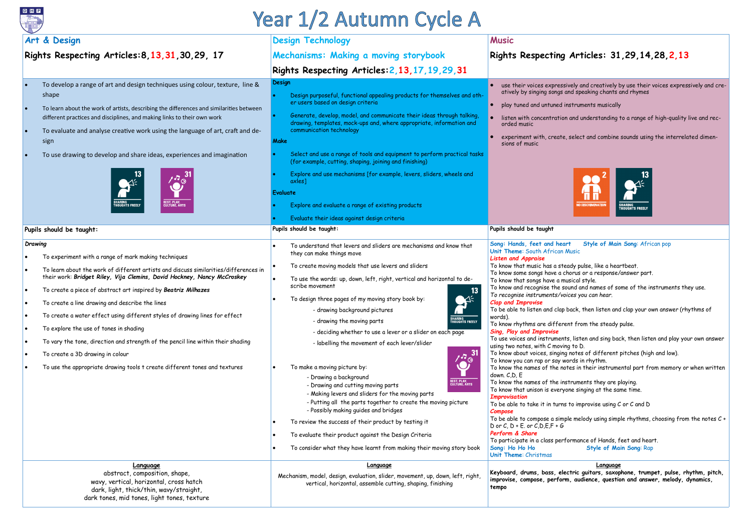

# Year 1/2 Autumn Cycle A

# **Rights Respecting Articles: 31,29,14,28,2,13**

ely and creatively by use their voices expressively and cread speaking chants and rhymes

struments musically

and understanding to a range of high-quality live and rec-

select and combine sounds using the interrelated dimen-



#### **t** Style of Main Song: African pop **Nusic**

ady pulse, like a heartbeat.

orus or a response/answer part.

isical style.

und and names of some of the instruments they use.

**Keyboard, drums, bass, electric guitars, saxophone, trumpet, pulse, rhythm, pitch, i**, audience, question and answer, melody, dynamics,

|                                                   | Art & Design                                                                                                                                                                                                                                                                                                                                                                                                                                                                                                                                                                                                                                                                           | <b>Design Technology</b>                                                                                                                                                                                                                                                                                                                                                                                                                                                                                                                                                                                                                                                                                                                                                                                                                                                                                                                                                                                                                    | <b>Music</b>                                                                                                                                                                                                                                                                                                                                                                                                                                                                                                                                                                                                                                                                                                                                                                                                                                                                                                             |
|---------------------------------------------------|----------------------------------------------------------------------------------------------------------------------------------------------------------------------------------------------------------------------------------------------------------------------------------------------------------------------------------------------------------------------------------------------------------------------------------------------------------------------------------------------------------------------------------------------------------------------------------------------------------------------------------------------------------------------------------------|---------------------------------------------------------------------------------------------------------------------------------------------------------------------------------------------------------------------------------------------------------------------------------------------------------------------------------------------------------------------------------------------------------------------------------------------------------------------------------------------------------------------------------------------------------------------------------------------------------------------------------------------------------------------------------------------------------------------------------------------------------------------------------------------------------------------------------------------------------------------------------------------------------------------------------------------------------------------------------------------------------------------------------------------|--------------------------------------------------------------------------------------------------------------------------------------------------------------------------------------------------------------------------------------------------------------------------------------------------------------------------------------------------------------------------------------------------------------------------------------------------------------------------------------------------------------------------------------------------------------------------------------------------------------------------------------------------------------------------------------------------------------------------------------------------------------------------------------------------------------------------------------------------------------------------------------------------------------------------|
| Rights Respecting Articles: 8, 13, 31, 30, 29, 17 |                                                                                                                                                                                                                                                                                                                                                                                                                                                                                                                                                                                                                                                                                        | Mechanisms: Making a moving storybook                                                                                                                                                                                                                                                                                                                                                                                                                                                                                                                                                                                                                                                                                                                                                                                                                                                                                                                                                                                                       | <b>Rights Respecting</b>                                                                                                                                                                                                                                                                                                                                                                                                                                                                                                                                                                                                                                                                                                                                                                                                                                                                                                 |
|                                                   |                                                                                                                                                                                                                                                                                                                                                                                                                                                                                                                                                                                                                                                                                        | Rights Respecting Articles: 2, 13, 17, 19, 29, 31                                                                                                                                                                                                                                                                                                                                                                                                                                                                                                                                                                                                                                                                                                                                                                                                                                                                                                                                                                                           |                                                                                                                                                                                                                                                                                                                                                                                                                                                                                                                                                                                                                                                                                                                                                                                                                                                                                                                          |
|                                                   | To develop a range of art and design techniques using colour, texture, line &<br>shape<br>To learn about the work of artists, describing the differences and similarities between<br>different practices and disciplines, and making links to their own work<br>To evaluate and analyse creative work using the language of art, craft and de-<br>sign<br>To use drawing to develop and share ideas, experiences and imagination<br><b>REST, PLAY,<br/>CULTURE, ARTS</b><br>SHAR <mark>i</mark> ng<br>Thoughts freely                                                                                                                                                                  | <b>Design</b><br>Design purposeful, functional appealing products for themselves and oth-<br>er users based on design criteria<br>Generate, develop, model, and communicate their ideas through talking,<br>drawing, templates, mock-ups and, where appropriate, information and<br>communication technology<br>Make<br>Select and use a range of tools and equipment to perform practical tasks<br>(for example, cutting, shaping, joining and finishing)<br>Explore and use mechanisms [for example, levers, sliders, wheels and<br>axles]<br><b>Evaluate</b><br>Explore and evaluate a range of existing products                                                                                                                                                                                                                                                                                                                                                                                                                        | use their voices expressiv<br>atively by singing songs ar<br>play tuned and untuned in:<br>listen with concentration<br>orded music<br>experiment with, create,<br>sions of music                                                                                                                                                                                                                                                                                                                                                                                                                                                                                                                                                                                                                                                                                                                                        |
|                                                   | Pupils should be taught:                                                                                                                                                                                                                                                                                                                                                                                                                                                                                                                                                                                                                                                               | Evaluate their ideas against design criteria<br>Pupils should be taught:                                                                                                                                                                                                                                                                                                                                                                                                                                                                                                                                                                                                                                                                                                                                                                                                                                                                                                                                                                    | Pupils should be taught                                                                                                                                                                                                                                                                                                                                                                                                                                                                                                                                                                                                                                                                                                                                                                                                                                                                                                  |
|                                                   | Drawing<br>To experiment with a range of mark making techniques<br>To learn about the work of different artists and discuss similarities/differences in<br>their work: Bridget Riley, Vija Clemins, David Hockney, Nancy McCroskey<br>To create a piece of abstract art inspired by Beatriz Milhazes<br>To create a line drawing and describe the lines<br>To create a water effect using different styles of drawing lines for effect<br>To explore the use of tones in shading<br>To vary the tone, direction and strength of the pencil line within their shading<br>To create a 3D drawing in colour<br>To use the appropriate drawing tools t create different tones and textures | To understand that levers and sliders are mechanisms and know that<br>they can make things move<br>To create moving models that use levers and sliders<br>To use the words: up, down, left, right, vertical and horizontal to de-<br>scribe movement<br>13<br>To design three pages of my moving story book by:<br>- drawing background pictures<br><b>SHARING<br/>THOUGHTS FREELY</b><br>- drawing the moving parts<br>- deciding whether to use a lever or a slider on each page<br>- labelling the movement of each lever/slider<br>1.731<br>To make a moving picture by:<br>- Drawing a background<br><b>REST, PLAY,<br/>CULTURE, ARTS</b><br>- Drawing and cutting moving parts<br>- Making levers and sliders for the moving parts<br>- Putting all the parts together to create the moving picture<br>- Possibly making guides and bridges<br>To review the success of their product by testing it<br>To evaluate their product against the Design Criteria<br>To consider what they have learnt from making their moving story book | Song: Hands, feet and heart<br>Unit Theme: South African M<br><b>Listen and Appraise</b><br>To know that music has a stea<br>To know some songs have a ch<br>To know that songs have a mus<br>To know and recognise the sou<br>To recognise instruments/void<br><b>Clap and Improvise</b><br>To be able to listen and clap b<br>words).<br>To know rhythms are differer<br><b>Sing, Play and Improvise</b><br>To use voices and instruments<br>using two notes, with C moving<br>To know about voices, singing<br>To know you can rap or say wo<br>To know the names of the not<br>down. C,D, E<br>To know the names of the inst<br>To know that unison is everyor<br><b>Improvisation</b><br>To be able to take it in turns t<br>Compose<br>To be able to compose a simple<br>D or C, $D + E$ . or C, D, $E$ , $F + G$<br>Perform & Share<br>To participate in a class perfo<br>Song: Ho Ho Ho<br>Unit Theme: Christmas |
|                                                   | <b>Language</b><br>abstract, composition, shape,<br>wavy, vertical, horizontal, cross hatch<br>dark, light, thick/thin, wavy/straight,<br>dark tones, mid tones, light tones, texture                                                                                                                                                                                                                                                                                                                                                                                                                                                                                                  | Language<br>Mechanism, model, design, evaluation, slider, movement, up, down, left, right,<br>vertical, horizontal, assemble cutting, shaping, finishing                                                                                                                                                                                                                                                                                                                                                                                                                                                                                                                                                                                                                                                                                                                                                                                                                                                                                    | Keyboard, drums, bass, elec<br>improvise, compose, perform<br>tempo                                                                                                                                                                                                                                                                                                                                                                                                                                                                                                                                                                                                                                                                                                                                                                                                                                                      |

*To recognise instruments/voices you can hear.*

back, then listen and clap your own answer (rhythms of

nt from the steady pulse.

s, listen and sing back, then listen and play your own answer  $\mathfrak h$  to D.

notes of different pitches (high and low).

ords in rhythm.

tes in their instrumental part from memory or when written

truments they are playing. ne singing at the same time.

to improvise using  $C$  or  $C$  and  $D$ 

Ie melody using simple rhythms, choosing from the notes  $C +$ 

ormance of Hands, feet and heart. **Style of Main Song: Rap** 

**Language**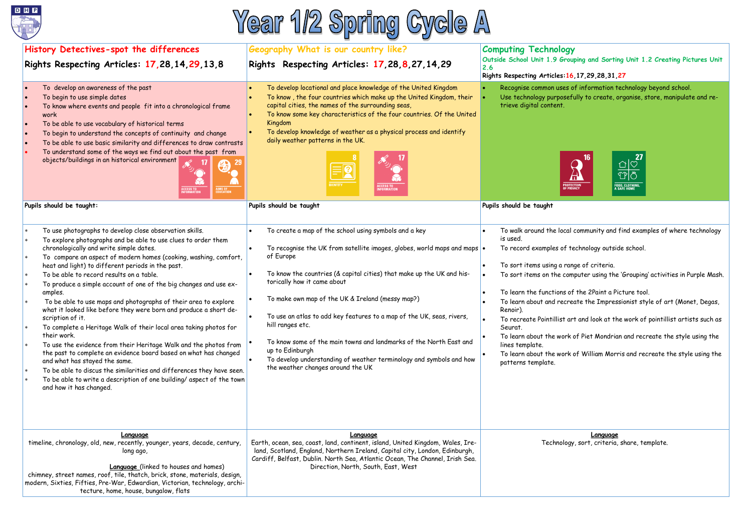# **Computing Technology**  ouping and Sorting Unit 1.2 Creating Pictures Unit

## **Rights Respecting Articles:16,17,29,28,31,27**

 $s$  of information technology beyond school. efully to create, organise, store, manipulate and re-



al community and find examples of where technology

technology outside school.

ange of criteria. effer the total on the computer items on the represent using the 'Grouping' activities in Purple Mash.

of the 2Paint a Picture tool. reate the Impressionist style of art (Monet, Degas,

art and look at the work of pointillist artists such as

k of Piet Mondrian and recreate the style using the

**k** of William Morris and recreate the style using the





| History Detectives-spot the differences                                                                                                                                                                                                                                                                                                                                                                                                                                                                                                                                                                                                                                                                                                                                                                                                                                                                                                                                                                                                            | Geography What is our country like?                                                                                                                                                                                                                                                                                                                                                                                                                                                                                                                                                                                  | <b>Computing Technolog</b>                                                                                                                                                                                                                                                                                                |  |
|----------------------------------------------------------------------------------------------------------------------------------------------------------------------------------------------------------------------------------------------------------------------------------------------------------------------------------------------------------------------------------------------------------------------------------------------------------------------------------------------------------------------------------------------------------------------------------------------------------------------------------------------------------------------------------------------------------------------------------------------------------------------------------------------------------------------------------------------------------------------------------------------------------------------------------------------------------------------------------------------------------------------------------------------------|----------------------------------------------------------------------------------------------------------------------------------------------------------------------------------------------------------------------------------------------------------------------------------------------------------------------------------------------------------------------------------------------------------------------------------------------------------------------------------------------------------------------------------------------------------------------------------------------------------------------|---------------------------------------------------------------------------------------------------------------------------------------------------------------------------------------------------------------------------------------------------------------------------------------------------------------------------|--|
| Rights Respecting Articles: 17,28,14,29,13,8                                                                                                                                                                                                                                                                                                                                                                                                                                                                                                                                                                                                                                                                                                                                                                                                                                                                                                                                                                                                       | Rights Respecting Articles: 17,28,8,27,14,29                                                                                                                                                                                                                                                                                                                                                                                                                                                                                                                                                                         | Outside School Unit 1.9 Gro<br>2.6<br><b>Rights Respecting Articles:</b>                                                                                                                                                                                                                                                  |  |
| To develop an awareness of the past<br>To begin to use simple dates<br>To know where events and people fit into a chronological frame<br>work<br>To be able to use vocabulary of historical terms<br>To begin to understand the concepts of continuity and change<br>To be able to use basic similarity and differences to draw contrasts<br>To understand some of the ways we find out about the past from<br>objects/buildings in an historical environment<br>CESS TO<br>ORMATION<br>AIMS OF<br>Education                                                                                                                                                                                                                                                                                                                                                                                                                                                                                                                                       | To develop locational and place knowledge of the United Kingdom<br>To know, the four countries which make up the United Kingdom, their<br>capital cities, the names of the surrounding seas,<br>To know some key characteristics of the four countries. Of the United<br>Kingdom<br>To develop knowledge of weather as a physical process and identify<br>daily weather patterns in the UK.<br><b>DENTITY</b><br><b>ACCESS TO<br/>INFORMATION</b>                                                                                                                                                                    | Recognise common uses<br>Use technology purpose<br>trieve digital content.                                                                                                                                                                                                                                                |  |
| Pupils should be taught:                                                                                                                                                                                                                                                                                                                                                                                                                                                                                                                                                                                                                                                                                                                                                                                                                                                                                                                                                                                                                           | Pupils should be taught                                                                                                                                                                                                                                                                                                                                                                                                                                                                                                                                                                                              | Pupils should be taught                                                                                                                                                                                                                                                                                                   |  |
| To use photographs to develop close observation skills.<br>$\ast$<br>To explore photographs and be able to use clues to order them<br>chronologically and write simple dates.<br>To compare an aspect of modern homes (cooking, washing, comfort,<br>heat and light) to different periods in the past.<br>To be able to record results on a table.<br>To produce a simple account of one of the big changes and use ex-<br>amples.<br>To be able to use maps and photographs of their area to explore<br>what it looked like before they were born and produce a short de-<br>scription of it.<br>To complete a Heritage Walk of their local area taking photos for<br>their work.<br>To use the evidence from their Heritage Walk and the photos from<br>the past to complete an evidence board based on what has changed<br>and what has stayed the same.<br>To be able to discus the similarities and differences they have seen.<br>$\ast$<br>To be able to write a description of one building/ aspect of the town<br>and how it has changed. | To create a map of the school using symbols and a key<br>To recognise the UK from satellite images, globes, world maps and maps $\bullet$<br>of Europe<br>To know the countries (& capital cities) that make up the UK and his-<br>torically how it came about<br>To make own map of the UK & Ireland (messy map?)<br>To use an atlas to add key features to a map of the UK, seas, rivers,<br>hill ranges etc.<br>To know some of the main towns and landmarks of the North East and<br>up to Edinburgh<br>To develop understanding of weather terminology and symbols and how<br>the weather changes around the UK | To walk around the loce<br>is used.<br>To record examples of<br>To sort items using a ro<br>To sort items on the co<br>To learn the functions<br>To learn about and recr<br>Renoir).<br>To recreate Pointillist<br>Seurat.<br>To learn about the worl<br>lines template.<br>To learn about the worl<br>patterns template. |  |
| Language<br>timeline, chronology, old, new, recently, younger, years, decade, century,<br>long ago,<br><b>Language</b> (linked to houses and homes)<br>chimney, street names, roof, tile, thatch, brick, stone, materials, design,<br>modern, Sixties, Fifties, Pre-War, Edwardian, Victorian, technology, archi-<br>tecture, home, house, bungalow, flats                                                                                                                                                                                                                                                                                                                                                                                                                                                                                                                                                                                                                                                                                         | Language<br>Earth, ocean, sea, coast, land, continent, island, United Kingdom, Wales, Ire-<br>land, Scotland, England, Northern Ireland, Capital city, London, Edinburgh,<br>Cardiff, Belfast, Dublin. North Sea, Atlantic Ocean, The Channel, Irish Sea.<br>Direction, North, South, East, West                                                                                                                                                                                                                                                                                                                     | Technolo                                                                                                                                                                                                                                                                                                                  |  |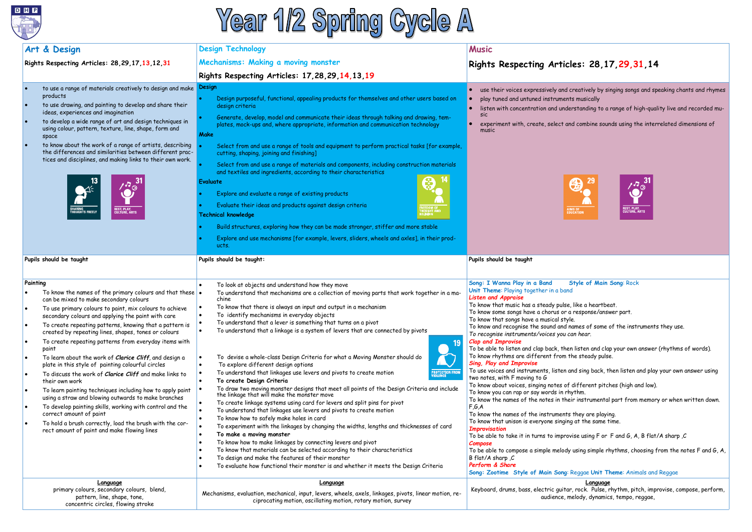

# Year 1/2 Spring Cycle A

# **Rights Respecting Articles: 28,17,29,31,14**

- eatively by singing songs and speaking chants and rhymes musically
- standing to a range of high-quality live and recorded mu-
- combine sounds using the interrelated dimensions of





# **Tyle of Main Song: Rock**

- like a heartbeat.
- response/answer part.
- 
- ames of some of the instruments they use. *To recognise instruments/voices you can hear.*
- listen and clap your own answer (rhythms of words). The steady pulse.
- Id sing back, then listen and play your own answer using
- different pitches (high and low). r instrumental part from memory or when written down.
- they are playing. at the same time.
- ise using F or F and G, A, B flat/A sharp , $C$
- using simple rhythms, choosing from the notes F and G, A,

|                                                                           | Art & Design                                                                                                                                                                                                                                                                                                                                                                                                                                                                                                                                                                                                                                                                                                                                                                                                                                                                                                                                  | <b>Design Technology</b>                                                                                                                                                                                                                                                                                                                                                                                                                                                                                                                                                                                                                                                                                                                                                                                                                                                                                                                                                                                                                                                                                                                                                                                                                                                                                                                                                                                                                                                                                        | <b>Music</b>                                                                                                                                                                                                                                                                                                                                                                                                                                                                                                                                                                                                                                                                                                                                                                                                                                                                                                                                                                                                                                                                                 |
|---------------------------------------------------------------------------|-----------------------------------------------------------------------------------------------------------------------------------------------------------------------------------------------------------------------------------------------------------------------------------------------------------------------------------------------------------------------------------------------------------------------------------------------------------------------------------------------------------------------------------------------------------------------------------------------------------------------------------------------------------------------------------------------------------------------------------------------------------------------------------------------------------------------------------------------------------------------------------------------------------------------------------------------|-----------------------------------------------------------------------------------------------------------------------------------------------------------------------------------------------------------------------------------------------------------------------------------------------------------------------------------------------------------------------------------------------------------------------------------------------------------------------------------------------------------------------------------------------------------------------------------------------------------------------------------------------------------------------------------------------------------------------------------------------------------------------------------------------------------------------------------------------------------------------------------------------------------------------------------------------------------------------------------------------------------------------------------------------------------------------------------------------------------------------------------------------------------------------------------------------------------------------------------------------------------------------------------------------------------------------------------------------------------------------------------------------------------------------------------------------------------------------------------------------------------------|----------------------------------------------------------------------------------------------------------------------------------------------------------------------------------------------------------------------------------------------------------------------------------------------------------------------------------------------------------------------------------------------------------------------------------------------------------------------------------------------------------------------------------------------------------------------------------------------------------------------------------------------------------------------------------------------------------------------------------------------------------------------------------------------------------------------------------------------------------------------------------------------------------------------------------------------------------------------------------------------------------------------------------------------------------------------------------------------|
| Rights Respecting Articles: 28, 29, 17, 13, 12, 31                        |                                                                                                                                                                                                                                                                                                                                                                                                                                                                                                                                                                                                                                                                                                                                                                                                                                                                                                                                               | Mechanisms: Making a moving monster                                                                                                                                                                                                                                                                                                                                                                                                                                                                                                                                                                                                                                                                                                                                                                                                                                                                                                                                                                                                                                                                                                                                                                                                                                                                                                                                                                                                                                                                             | <b>Rights Respecting Articles:</b>                                                                                                                                                                                                                                                                                                                                                                                                                                                                                                                                                                                                                                                                                                                                                                                                                                                                                                                                                                                                                                                           |
|                                                                           |                                                                                                                                                                                                                                                                                                                                                                                                                                                                                                                                                                                                                                                                                                                                                                                                                                                                                                                                               | Rights Respecting Articles: 17,28,29,14,13,19                                                                                                                                                                                                                                                                                                                                                                                                                                                                                                                                                                                                                                                                                                                                                                                                                                                                                                                                                                                                                                                                                                                                                                                                                                                                                                                                                                                                                                                                   |                                                                                                                                                                                                                                                                                                                                                                                                                                                                                                                                                                                                                                                                                                                                                                                                                                                                                                                                                                                                                                                                                              |
| $\bullet$<br>$\bullet$                                                    | to use a range of materials creatively to design and make<br>products<br>to use drawing, and painting to develop and share their<br>ideas, experiences and imagination<br>to develop a wide range of art and design techniques in<br>using colour, pattern, texture, line, shape, form and<br>space<br>to know about the work of a range of artists, describing<br>the differences and similarities between different prac-<br>tices and disciplines, and making links to their own work.<br>$\Delta$<br><b>REST, PLAY,<br/>CULTURE, ARTS</b><br><b>HARING<br/>HOUGHTS FREELY</b>                                                                                                                                                                                                                                                                                                                                                             | Design<br>Design purposeful, functional, appealing products for themselves and other users based on<br>design criteria<br>Generate, develop, model and communicate their ideas through talking and drawing, tem-<br>plates, mock-ups and, where appropriate, information and communication technology<br><b>Make</b><br>Select from and use a range of tools and equipment to perform practical tasks [for example,<br>cutting, shaping, joining and finishing]<br>Select from and use a range of materials and components, including construction materials<br>and textiles and ingredients, according to their characteristics<br><b>Evaluate</b><br>Explore and evaluate a range of existing products<br>Evaluate their ideas and products against design criteria<br>REEDOM OF<br>HOUGHT AND<br>ELIGION<br><b>Technical knowledge</b><br>Build structures, exploring how they can be made stronger, stiffer and more stable<br>Explore and use mechanisms [for example, levers, sliders, wheels and axles], in their prod-<br>ucts.                                                                                                                                                                                                                                                                                                                                                                                                                                                                         | use their voices expressively and creati<br>play tuned and untuned instruments mus<br>listen with concentration and understan<br><b>Sic</b><br>experiment with, create, select and con<br>music<br>色.<br><b>AIMS OF<br/>EDUCATION</b>                                                                                                                                                                                                                                                                                                                                                                                                                                                                                                                                                                                                                                                                                                                                                                                                                                                        |
| Pupils should be taught                                                   |                                                                                                                                                                                                                                                                                                                                                                                                                                                                                                                                                                                                                                                                                                                                                                                                                                                                                                                                               | Pupils should be taught:                                                                                                                                                                                                                                                                                                                                                                                                                                                                                                                                                                                                                                                                                                                                                                                                                                                                                                                                                                                                                                                                                                                                                                                                                                                                                                                                                                                                                                                                                        | Pupils should be taught                                                                                                                                                                                                                                                                                                                                                                                                                                                                                                                                                                                                                                                                                                                                                                                                                                                                                                                                                                                                                                                                      |
| Painting<br>$\bullet$<br>$\bullet$<br>$\bullet$<br>$\bullet$<br>$\bullet$ | To know the names of the primary colours and that these $\bullet$<br>can be mixed to make secondary colours<br>To use primary colours to paint, mix colours to achieve<br>secondary colours and applying the paint with care<br>To create repeating patterns, knowing that a pattern is<br>created by repeating lines, shapes, tones or colours<br>To create repeating patterns from everyday items with<br>paint<br>To learn about the work of Clarice Cliff, and design a<br>plate in this style of painting colourful circles<br>To discuss the work of Clarice Cliff and make links to<br>their own work<br>To learn painting techniques including how to apply paint<br>using a straw and blowing outwards to make branches<br>To develop painting skills, working with control and the<br>correct amount of paint<br>To hold a brush correctly, load the brush with the cor-<br>rect amount of paint and make flowing lines<br>Language | To look at objects and understand how they move<br>To understand that mechanisms are a collection of moving parts that work together in a ma-<br>chine<br>To know that there is always an input and output in a mechanism<br>To identify mechanisms in everyday objects<br>To understand that a lever is something that turns on a pivot<br>To understand that a linkage is a system of levers that are connected by pivots<br>$\bullet$<br>19<br>To devise a whole-class Design Criteria for what a Moving Monster should do<br>To explore different design options<br>To understand that linkages use levers and pivots to create motion<br>PROTECT <mark>i</mark> on from<br>/iolence<br>To create Design Criteria<br>To draw two moving monster designs that meet all points of the Design Criteria and include<br>the linkage that will make the monster move<br>To create linkage systems using card for levers and split pins for pivot<br>To understand that linkages use levers and pivots to create motion<br>To know how to safely make holes in card<br>$\bullet$<br>To experiment with the linkages by changing the widths, lengths and thicknesses of card<br>To make a moving monster<br>To know how to make linkages by connecting levers and pivot<br>To know that materials can be selected according to their characteristics<br>To design and make the features of their monster<br>To evaluate how functional their monster is and whether it meets the Design Criteria<br><b>Language</b> | Song: I Wanna Play in a Band<br><b>Style</b><br>Unit Theme: Playing together in a band<br><b>Listen and Appraise</b><br>To know that music has a steady pulse, like a<br>To know some songs have a chorus or a resp<br>To know that songs have a musical style.<br>To know and recognise the sound and names<br>To recognise instruments/voices you can hea<br><b>Clap and Improvise</b><br>To be able to listen and clap back, then liste<br>To know rhythms are different from the sto<br><b>Sing, Play and Improvise</b><br>To use voices and instruments, listen and sir<br>two notes, with F moving to G<br>To know about voices, singing notes of diffe<br>To know you can rap or say words in rhythm.<br>To know the names of the notes in their inst<br>F,G,A<br>To know the names of the instruments they<br>To know that unison is everyone singing at tl<br><b>Improvisation</b><br>To be able to take it in turns to improvise us<br>Compose<br>To be able to compose a simple melody using<br>B flat/A sharp, $C$<br>Perform & Share<br>Song: Zootime Style of Main Song: Reggo |
|                                                                           | primary colours, secondary colours, blend,<br>pattern, line, shape, tone,<br>concentric circles, flowing stroke                                                                                                                                                                                                                                                                                                                                                                                                                                                                                                                                                                                                                                                                                                                                                                                                                               | Mechanisms, evaluation, mechanical, input, levers, wheels, axels, linkages, pivots, linear motion, re-<br>ciprocating motion, oscillating motion, rotary motion, survey                                                                                                                                                                                                                                                                                                                                                                                                                                                                                                                                                                                                                                                                                                                                                                                                                                                                                                                                                                                                                                                                                                                                                                                                                                                                                                                                         | Keyboard, drums, bass, electric guitar, rocl<br>audience, melody                                                                                                                                                                                                                                                                                                                                                                                                                                                                                                                                                                                                                                                                                                                                                                                                                                                                                                                                                                                                                             |

### **Song: Zootime Style of Main Song**: Reggae **Unit Theme**: Animals and Reggae

#### **Language**

rock. Pulse, rhythm, pitch, improvise, compose, perform,  $elody$ , dynamics, tempo, reggae,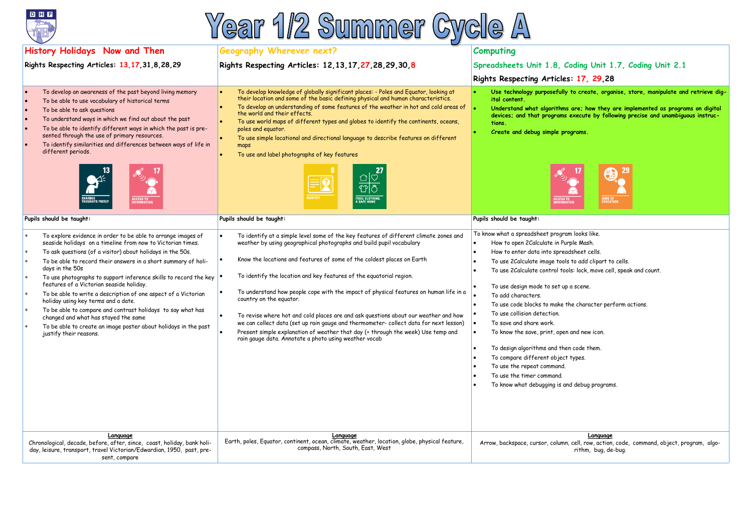# Coding Unit 1.7, Coding Unit 2.1 **Rights Respecting Articles: 17, 29,28**

to create, organise, store, manipulate and retrieve dig-

**are; how they are implemented as programs on digital** execute by following precise and unambiguous instruc-

• **Create and debug simple programs.**



am looks like.

rple Mash.

adsheet cells.

Is to add clipart to cells.

ols: lock, move cell, speak and count.

a scene.

the character perform actions.

rand new icon.

en code them. types.

nd debug programs.





| <b>Geography Wherever next?</b>                                                                                                                                                                                                                                                                                                                                                                                                                                                                                                                                                                                                                                                                                                                                              | <b>Computing</b>                                                                                                                                                                                                                                                                                                                                                                                                                                                                                                                           |  |
|------------------------------------------------------------------------------------------------------------------------------------------------------------------------------------------------------------------------------------------------------------------------------------------------------------------------------------------------------------------------------------------------------------------------------------------------------------------------------------------------------------------------------------------------------------------------------------------------------------------------------------------------------------------------------------------------------------------------------------------------------------------------------|--------------------------------------------------------------------------------------------------------------------------------------------------------------------------------------------------------------------------------------------------------------------------------------------------------------------------------------------------------------------------------------------------------------------------------------------------------------------------------------------------------------------------------------------|--|
| Rights Respecting Articles: 12, 13, 17, 27, 28, 29, 30, 8                                                                                                                                                                                                                                                                                                                                                                                                                                                                                                                                                                                                                                                                                                                    | Spreadsheets Unit 1.8, C                                                                                                                                                                                                                                                                                                                                                                                                                                                                                                                   |  |
|                                                                                                                                                                                                                                                                                                                                                                                                                                                                                                                                                                                                                                                                                                                                                                              | <b>Rights Respecting Articles</b>                                                                                                                                                                                                                                                                                                                                                                                                                                                                                                          |  |
| To develop knowledge of globally significant places: - Poles and Equator, looking at their location and some of the basic defining physical and human characteristics.<br>To develop an understanding of some features of the weather in hot and cold areas of<br>the world and their effects.<br>To use world maps of different types and globes to identify the continents, oceans,<br>poles and equator.<br>To use simple locational and directional language to describe features on different<br>maps<br>To use and label photographs of key features<br>ひじ<br><b>IDENTITY</b><br><b>FOOD, CLOTHING</b><br>A SAFE HOME                                                                                                                                                  | Use technology purposefully<br>ital content.<br>Understand what algorithms<br>devices; and that programs<br>tions.<br>Create and debug simple pre<br>روههما<br><b>ACCESS T</b><br>INFORMAT                                                                                                                                                                                                                                                                                                                                                 |  |
| Pupils should be taught:                                                                                                                                                                                                                                                                                                                                                                                                                                                                                                                                                                                                                                                                                                                                                     | Pupils should be taught:                                                                                                                                                                                                                                                                                                                                                                                                                                                                                                                   |  |
| To identify at a simple level some of the key features of different climate zones and<br>$\bullet$<br>weather by using geographical photographs and build pupil vocabulary<br>Know the locations and features of some of the coldest places on Earth<br>To identify the location and key features of the equatorial region.<br>To understand how people cope with the impact of physical features on human life in a<br>country on the equator.<br>To revise where hot and cold places are and ask questions about our weather and how<br>we can collect data (set up rain gauge and thermometer- collect data for next lesson)<br>Present simple explanation of weather that day (+ through the week) Use temp and<br>rain gauge data. Annotate a photo using weather vocab | To know what a spreadsheet progra<br>How to open 2 Calculate in Pur<br>How to enter data into sprea<br>To use 2Calculate image tools<br>To use 2Calculate control too<br>To use design mode to set up<br>To add characters.<br>To use code blocks to make t<br>To use collision detection.<br>To save and share work.<br>$\bullet$<br>To know the save, print, open<br>To design algorithms and the<br>$\bullet$<br>To compare different object<br>To use the repeat command.<br>To use the timer command.<br>To know what debugging is ar |  |
| Language<br>Earth, poles, Equator, continent, ocean, climate, weather, location, globe, physical feature,<br>compass, North, South, East, West                                                                                                                                                                                                                                                                                                                                                                                                                                                                                                                                                                                                                               | Arrow, backspace, cursor, column                                                                                                                                                                                                                                                                                                                                                                                                                                                                                                           |  |
|                                                                                                                                                                                                                                                                                                                                                                                                                                                                                                                                                                                                                                                                                                                                                                              |                                                                                                                                                                                                                                                                                                                                                                                                                                                                                                                                            |  |

**Language** 1, cell, row, action, code, command, object, program, algorithm, bug, de-bug.